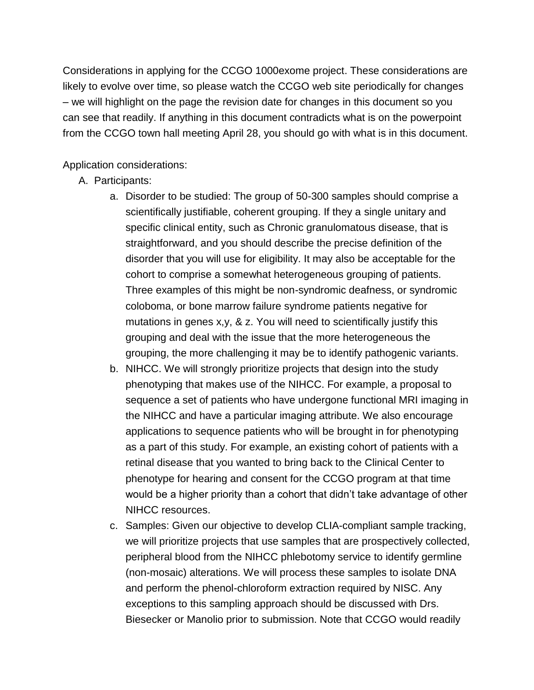Considerations in applying for the CCGO 1000exome project. These considerations are likely to evolve over time, so please watch the CCGO web site periodically for changes – we will highlight on the page the revision date for changes in this document so you can see that readily. If anything in this document contradicts what is on the powerpoint from the CCGO town hall meeting April 28, you should go with what is in this document.

Application considerations:

- A. Participants:
	- a. Disorder to be studied: The group of 50-300 samples should comprise a scientifically justifiable, coherent grouping. If they a single unitary and specific clinical entity, such as Chronic granulomatous disease, that is straightforward, and you should describe the precise definition of the disorder that you will use for eligibility. It may also be acceptable for the cohort to comprise a somewhat heterogeneous grouping of patients. Three examples of this might be non-syndromic deafness, or syndromic coloboma, or bone marrow failure syndrome patients negative for mutations in genes x,y, & z. You will need to scientifically justify this grouping and deal with the issue that the more heterogeneous the grouping, the more challenging it may be to identify pathogenic variants.
	- b. NIHCC. We will strongly prioritize projects that design into the study phenotyping that makes use of the NIHCC. For example, a proposal to sequence a set of patients who have undergone functional MRI imaging in the NIHCC and have a particular imaging attribute. We also encourage applications to sequence patients who will be brought in for phenotyping as a part of this study. For example, an existing cohort of patients with a retinal disease that you wanted to bring back to the Clinical Center to phenotype for hearing and consent for the CCGO program at that time would be a higher priority than a cohort that didn't take advantage of other NIHCC resources.
	- c. Samples: Given our objective to develop CLIA-compliant sample tracking, we will prioritize projects that use samples that are prospectively collected, peripheral blood from the NIHCC phlebotomy service to identify germline (non-mosaic) alterations. We will process these samples to isolate DNA and perform the phenol-chloroform extraction required by NISC. Any exceptions to this sampling approach should be discussed with Drs. Biesecker or Manolio prior to submission. Note that CCGO would readily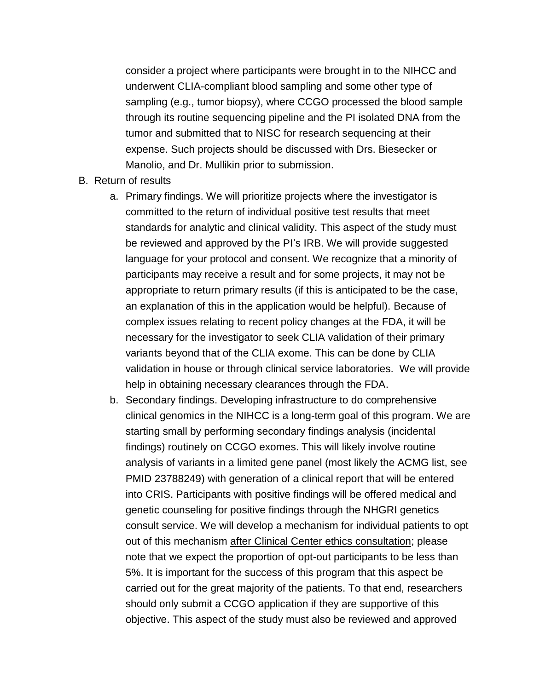consider a project where participants were brought in to the NIHCC and underwent CLIA-compliant blood sampling and some other type of sampling (e.g., tumor biopsy), where CCGO processed the blood sample through its routine sequencing pipeline and the PI isolated DNA from the tumor and submitted that to NISC for research sequencing at their expense. Such projects should be discussed with Drs. Biesecker or Manolio, and Dr. Mullikin prior to submission.

- B. Return of results
	- a. Primary findings. We will prioritize projects where the investigator is committed to the return of individual positive test results that meet standards for analytic and clinical validity. This aspect of the study must be reviewed and approved by the PI's IRB. We will provide suggested language for your protocol and consent. We recognize that a minority of participants may receive a result and for some projects, it may not be appropriate to return primary results (if this is anticipated to be the case, an explanation of this in the application would be helpful). Because of complex issues relating to recent policy changes at the FDA, it will be necessary for the investigator to seek CLIA validation of their primary variants beyond that of the CLIA exome. This can be done by CLIA validation in house or through clinical service laboratories. We will provide help in obtaining necessary clearances through the FDA.
	- b. Secondary findings. Developing infrastructure to do comprehensive clinical genomics in the NIHCC is a long-term goal of this program. We are starting small by performing secondary findings analysis (incidental findings) routinely on CCGO exomes. This will likely involve routine analysis of variants in a limited gene panel (most likely the ACMG list, see PMID 23788249) with generation of a clinical report that will be entered into CRIS. Participants with positive findings will be offered medical and genetic counseling for positive findings through the NHGRI genetics consult service. We will develop a mechanism for individual patients to opt out of this mechanism after Clinical Center ethics consultation; please note that we expect the proportion of opt-out participants to be less than 5%. It is important for the success of this program that this aspect be carried out for the great majority of the patients. To that end, researchers should only submit a CCGO application if they are supportive of this objective. This aspect of the study must also be reviewed and approved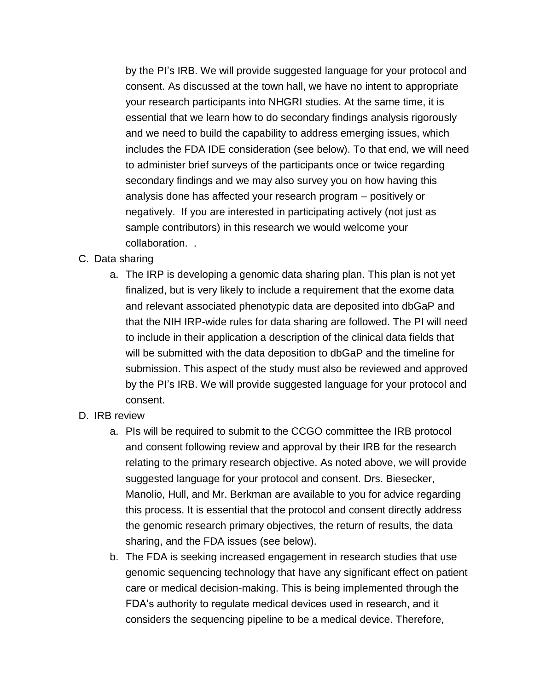by the PI's IRB. We will provide suggested language for your protocol and consent. As discussed at the town hall, we have no intent to appropriate your research participants into NHGRI studies. At the same time, it is essential that we learn how to do secondary findings analysis rigorously and we need to build the capability to address emerging issues, which includes the FDA IDE consideration (see below). To that end, we will need to administer brief surveys of the participants once or twice regarding secondary findings and we may also survey you on how having this analysis done has affected your research program – positively or negatively. If you are interested in participating actively (not just as sample contributors) in this research we would welcome your collaboration. .

## C. Data sharing

- a. The IRP is developing a genomic data sharing plan. This plan is not yet finalized, but is very likely to include a requirement that the exome data and relevant associated phenotypic data are deposited into dbGaP and that the NIH IRP-wide rules for data sharing are followed. The PI will need to include in their application a description of the clinical data fields that will be submitted with the data deposition to dbGaP and the timeline for submission. This aspect of the study must also be reviewed and approved by the PI's IRB. We will provide suggested language for your protocol and consent.
- D. IRB review
	- a. PIs will be required to submit to the CCGO committee the IRB protocol and consent following review and approval by their IRB for the research relating to the primary research objective. As noted above, we will provide suggested language for your protocol and consent. Drs. Biesecker, Manolio, Hull, and Mr. Berkman are available to you for advice regarding this process. It is essential that the protocol and consent directly address the genomic research primary objectives, the return of results, the data sharing, and the FDA issues (see below).
	- b. The FDA is seeking increased engagement in research studies that use genomic sequencing technology that have any significant effect on patient care or medical decision-making. This is being implemented through the FDA's authority to regulate medical devices used in research, and it considers the sequencing pipeline to be a medical device. Therefore,